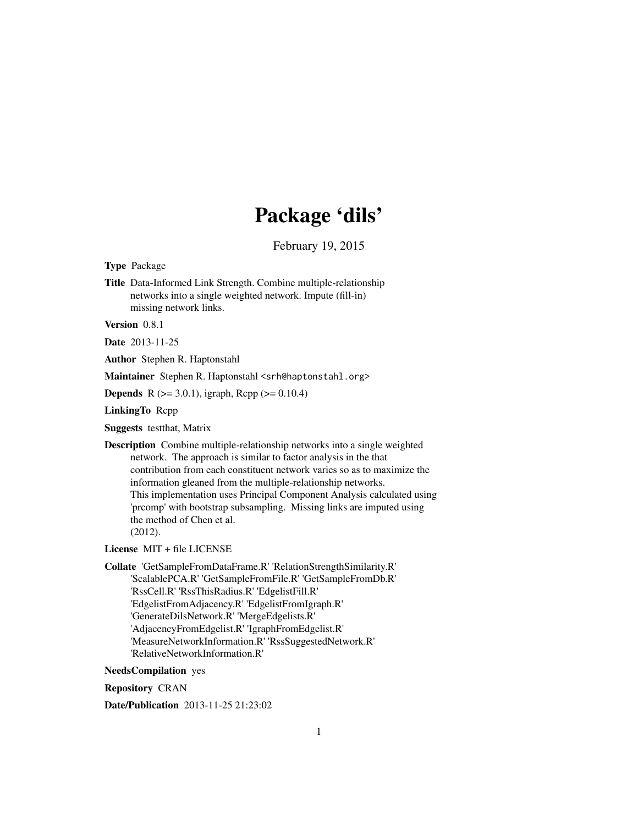# Package 'dils'

February 19, 2015

<span id="page-0-0"></span>Type Package

Title Data-Informed Link Strength. Combine multiple-relationship networks into a single weighted network. Impute (fill-in) missing network links.

Version 0.8.1

Date 2013-11-25

Author Stephen R. Haptonstahl

Maintainer Stephen R. Haptonstahl <srh@haptonstahl.org>

**Depends** R ( $>= 3.0.1$ ), igraph, Rcpp ( $>= 0.10.4$ )

LinkingTo Rcpp

Suggests testthat, Matrix

Description Combine multiple-relationship networks into a single weighted network. The approach is similar to factor analysis in the that contribution from each constituent network varies so as to maximize the information gleaned from the multiple-relationship networks. This implementation uses Principal Component Analysis calculated using 'prcomp' with bootstrap subsampling. Missing links are imputed using the method of Chen et al. (2012).

License MIT + file LICENSE

Collate 'GetSampleFromDataFrame.R' 'RelationStrengthSimilarity.R' 'ScalablePCA.R' 'GetSampleFromFile.R' 'GetSampleFromDb.R' 'RssCell.R' 'RssThisRadius.R' 'EdgelistFill.R' 'EdgelistFromAdjacency.R' 'EdgelistFromIgraph.R' 'GenerateDilsNetwork.R' 'MergeEdgelists.R' 'AdjacencyFromEdgelist.R' 'IgraphFromEdgelist.R' 'MeasureNetworkInformation.R' 'RssSuggestedNetwork.R' 'RelativeNetworkInformation.R'

NeedsCompilation yes

Repository CRAN

Date/Publication 2013-11-25 21:23:02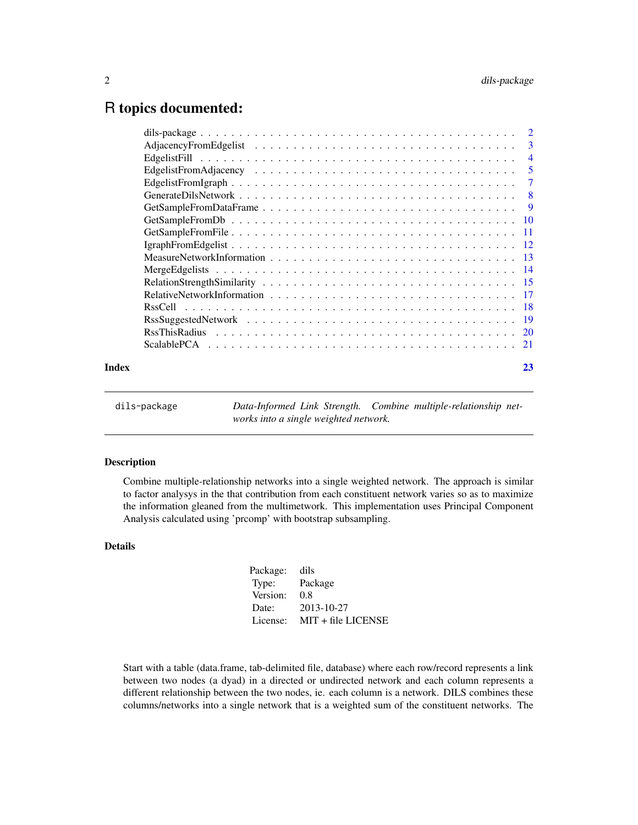# <span id="page-1-0"></span>R topics documented:

| 23 |
|----|
|    |

| dils-package |                                       | Data-Informed Link Strength. Combine multiple-relationship net- |
|--------------|---------------------------------------|-----------------------------------------------------------------|
|              | works into a single weighted network. |                                                                 |

#### Description

Combine multiple-relationship networks into a single weighted network. The approach is similar to factor analysys in the that contribution from each constituent network varies so as to maximize the information gleaned from the multimetwork. This implementation uses Principal Component Analysis calculated using 'prcomp' with bootstrap subsampling.

# Details

| Package: | dils                 |
|----------|----------------------|
| Type:    | Package              |
| Version: | 0.8                  |
| Date:    | 2013-10-27           |
| License: | $MIT + file LICENSE$ |
|          |                      |

Start with a table (data.frame, tab-delimited file, database) where each row/record represents a link between two nodes (a dyad) in a directed or undirected network and each column represents a different relationship between the two nodes, ie. each column is a network. DILS combines these columns/networks into a single network that is a weighted sum of the constituent networks. The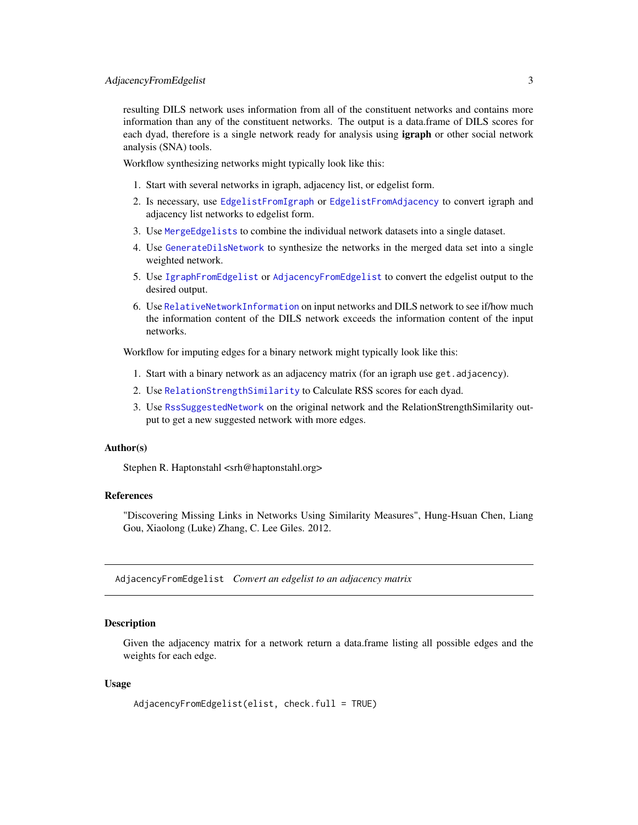<span id="page-2-0"></span>resulting DILS network uses information from all of the constituent networks and contains more information than any of the constituent networks. The output is a data.frame of DILS scores for each dyad, therefore is a single network ready for analysis using **igraph** or other social network analysis (SNA) tools.

Workflow synthesizing networks might typically look like this:

- 1. Start with several networks in igraph, adjacency list, or edgelist form.
- 2. Is necessary, use [EdgelistFromIgraph](#page-6-1) or [EdgelistFromAdjacency](#page-4-1) to convert igraph and adjacency list networks to edgelist form.
- 3. Use [MergeEdgelists](#page-13-1) to combine the individual network datasets into a single dataset.
- 4. Use [GenerateDilsNetwork](#page-7-1) to synthesize the networks in the merged data set into a single weighted network.
- 5. Use [IgraphFromEdgelist](#page-11-1) or [AdjacencyFromEdgelist](#page-2-1) to convert the edgelist output to the desired output.
- 6. Use [RelativeNetworkInformation](#page-16-1) on input networks and DILS network to see if/how much the information content of the DILS network exceeds the information content of the input networks.

Workflow for imputing edges for a binary network might typically look like this:

- 1. Start with a binary network as an adjacency matrix (for an igraph use get.adjacency).
- 2. Use [RelationStrengthSimilarity](#page-14-1) to Calculate RSS scores for each dyad.
- 3. Use [RssSuggestedNetwork](#page-18-1) on the original network and the RelationStrengthSimilarity output to get a new suggested network with more edges.

#### Author(s)

Stephen R. Haptonstahl <srh@haptonstahl.org>

# References

"Discovering Missing Links in Networks Using Similarity Measures", Hung-Hsuan Chen, Liang Gou, Xiaolong (Luke) Zhang, C. Lee Giles. 2012.

<span id="page-2-1"></span>AdjacencyFromEdgelist *Convert an edgelist to an adjacency matrix*

#### Description

Given the adjacency matrix for a network return a data.frame listing all possible edges and the weights for each edge.

```
AdjacencyFromEdgelist(elist, check.full = TRUE)
```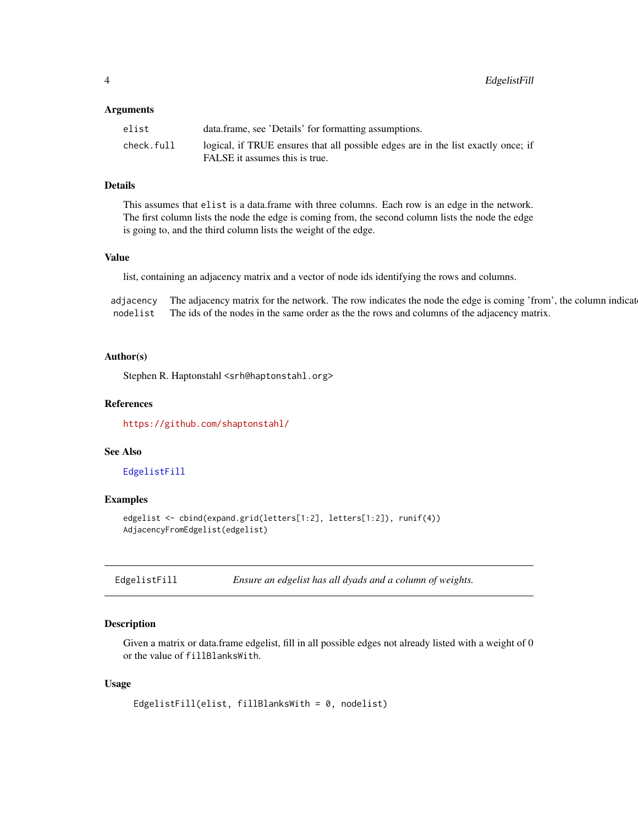<span id="page-3-0"></span>

| elist      | data.frame, see 'Details' for formatting assumptions.                             |
|------------|-----------------------------------------------------------------------------------|
| check.full | logical, if TRUE ensures that all possible edges are in the list exactly once; if |
|            | FALSE it assumes this is true.                                                    |

# Details

This assumes that elist is a data.frame with three columns. Each row is an edge in the network. The first column lists the node the edge is coming from, the second column lists the node the edge is going to, and the third column lists the weight of the edge.

# Value

list, containing an adjacency matrix and a vector of node ids identifying the rows and columns.

adjacency The adjacency matrix for the network. The row indicates the node the edge is coming 'from', the column indicat nodelist The ids of the nodes in the same order as the the rows and columns of the adjacency matrix.

#### Author(s)

Stephen R. Haptonstahl <srh@haptonstahl.org>

#### References

<https://github.com/shaptonstahl/>

#### See Also

[EdgelistFill](#page-3-1)

#### Examples

```
edgelist <- cbind(expand.grid(letters[1:2], letters[1:2]), runif(4))
AdjacencyFromEdgelist(edgelist)
```
<span id="page-3-1"></span>EdgelistFill *Ensure an edgelist has all dyads and a column of weights.*

# Description

Given a matrix or data.frame edgelist, fill in all possible edges not already listed with a weight of 0 or the value of fillBlanksWith.

```
EdgelistFill(elist, fillBlanksWith = 0, nodelist)
```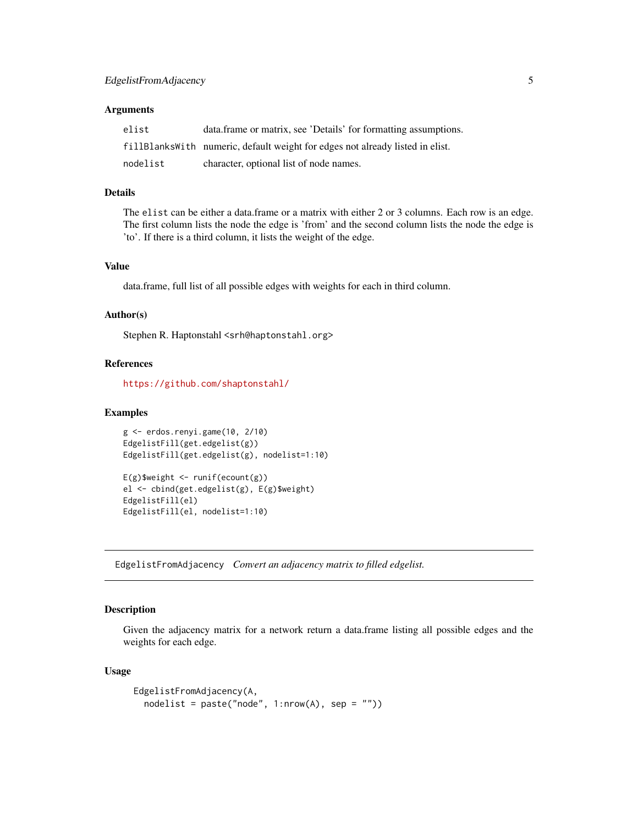<span id="page-4-0"></span>

| elist    | data.frame or matrix, see 'Details' for formatting assumptions.               |
|----------|-------------------------------------------------------------------------------|
|          | fillBlanksWith numeric, default weight for edges not already listed in elist. |
| nodelist | character, optional list of node names.                                       |

#### Details

The elist can be either a data.frame or a matrix with either 2 or 3 columns. Each row is an edge. The first column lists the node the edge is 'from' and the second column lists the node the edge is 'to'. If there is a third column, it lists the weight of the edge.

#### Value

data.frame, full list of all possible edges with weights for each in third column.

# Author(s)

Stephen R. Haptonstahl <srh@haptonstahl.org>

# References

<https://github.com/shaptonstahl/>

#### Examples

```
g <- erdos.renyi.game(10, 2/10)
EdgelistFill(get.edgelist(g))
EdgelistFill(get.edgelist(g), nodelist=1:10)
```

```
E(g)$weight <- runif(ecount(g))
el <- cbind(get.edgelist(g), E(g)$weight)
EdgelistFill(el)
EdgelistFill(el, nodelist=1:10)
```
<span id="page-4-1"></span>EdgelistFromAdjacency *Convert an adjacency matrix to filled edgelist.*

#### **Description**

Given the adjacency matrix for a network return a data.frame listing all possible edges and the weights for each edge.

```
EdgelistFromAdjacency(A,
  nodelist = paste("node", 1:nrow(A), sep = ""))
```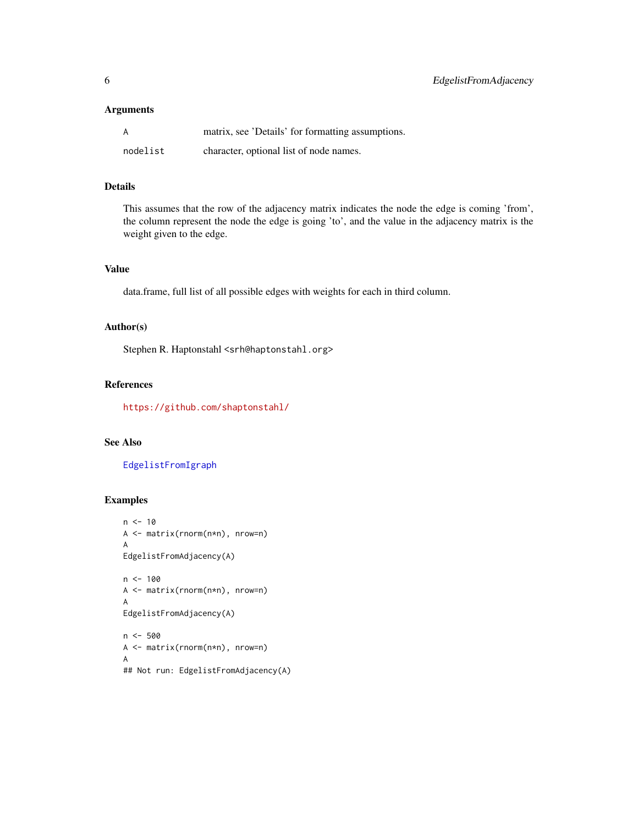<span id="page-5-0"></span>

| A        | matrix, see 'Details' for formatting assumptions. |
|----------|---------------------------------------------------|
| nodelist | character, optional list of node names.           |

# Details

This assumes that the row of the adjacency matrix indicates the node the edge is coming 'from', the column represent the node the edge is going 'to', and the value in the adjacency matrix is the weight given to the edge.

# Value

data.frame, full list of all possible edges with weights for each in third column.

# Author(s)

Stephen R. Haptonstahl <srh@haptonstahl.org>

# References

<https://github.com/shaptonstahl/>

# See Also

[EdgelistFromIgraph](#page-6-1)

# Examples

```
n < -10A <- matrix(rnorm(n*n), nrow=n)
A
EdgelistFromAdjacency(A)
n <- 100
A <- matrix(rnorm(n*n), nrow=n)
A
EdgelistFromAdjacency(A)
n < -500A <- matrix(rnorm(n*n), nrow=n)
A
## Not run: EdgelistFromAdjacency(A)
```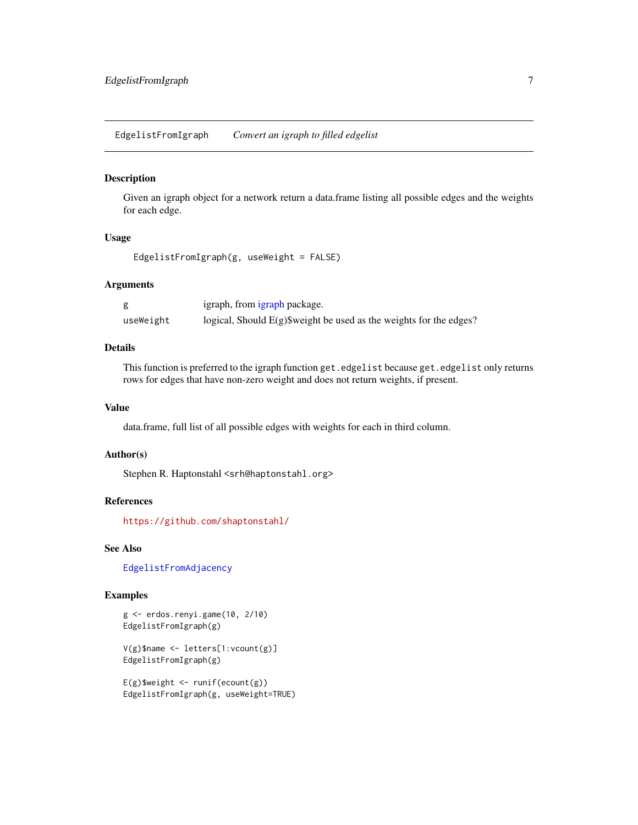<span id="page-6-1"></span><span id="page-6-0"></span>EdgelistFromIgraph *Convert an igraph to filled edgelist*

# Description

Given an igraph object for a network return a data.frame listing all possible edges and the weights for each edge.

#### Usage

EdgelistFromIgraph(g, useWeight = FALSE)

#### Arguments

|           | igraph, from igraph package.                                          |
|-----------|-----------------------------------------------------------------------|
| useWeight | logical, Should $E(g)$ \$weight be used as the weights for the edges? |

#### Details

This function is preferred to the igraph function get.edgelist because get.edgelist only returns rows for edges that have non-zero weight and does not return weights, if present.

# Value

data.frame, full list of all possible edges with weights for each in third column.

# Author(s)

Stephen R. Haptonstahl <srh@haptonstahl.org>

#### References

<https://github.com/shaptonstahl/>

# See Also

[EdgelistFromAdjacency](#page-4-1)

#### Examples

g <- erdos.renyi.game(10, 2/10) EdgelistFromIgraph(g)

V(g)\$name <- letters[1:vcount(g)] EdgelistFromIgraph(g)

 $E(g)$ \$weight <- runif(ecount(g)) EdgelistFromIgraph(g, useWeight=TRUE)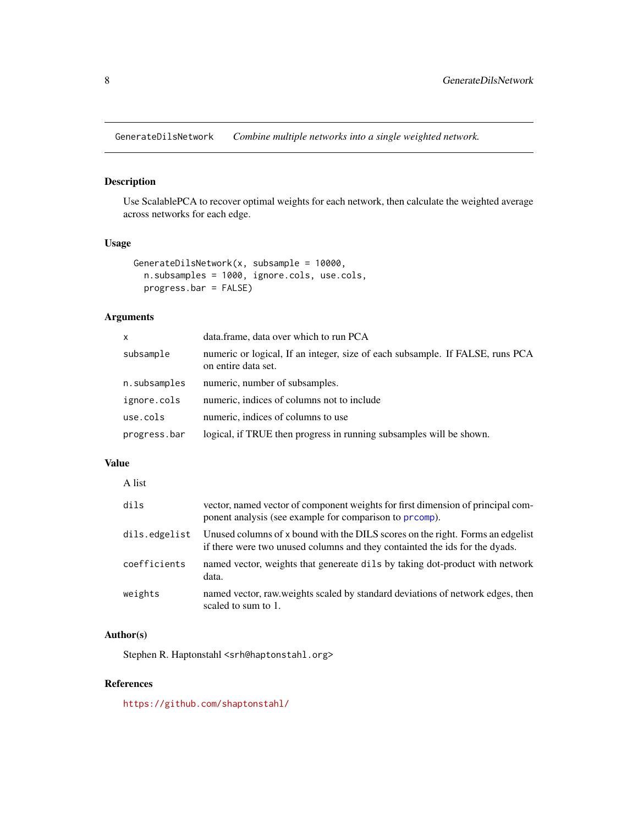<span id="page-7-1"></span><span id="page-7-0"></span>GenerateDilsNetwork *Combine multiple networks into a single weighted network.*

# Description

Use ScalablePCA to recover optimal weights for each network, then calculate the weighted average across networks for each edge.

# Usage

```
GenerateDilsNetwork(x, subsample = 10000,
 n.subsamples = 1000, ignore.cols, use.cols,
 progress.bar = FALSE)
```
# Arguments

| x            | data.frame, data over which to run PCA                                                               |
|--------------|------------------------------------------------------------------------------------------------------|
| subsample    | numeric or logical, If an integer, size of each subsample. If FALSE, runs PCA<br>on entire data set. |
| n.subsamples | numeric, number of subsamples.                                                                       |
| ignore.cols  | numeric, indices of columns not to include                                                           |
| use.cols     | numeric, indices of columns to use                                                                   |
| progress.bar | logical, if TRUE then progress in running subsamples will be shown.                                  |

# Value

| A list        |                                                                                                                                                               |
|---------------|---------------------------------------------------------------------------------------------------------------------------------------------------------------|
| dils          | vector, named vector of component weights for first dimension of principal com-<br>ponent analysis (see example for comparison to <b>prcomp</b> ).            |
| dils.edgelist | Unused columns of x bound with the DILS scores on the right. Forms an edgelist<br>if there were two unused columns and they containted the ids for the dyads. |
| coefficients  | named vector, weights that genereate dils by taking dot-product with network<br>data.                                                                         |
| weights       | named vector, raw weights scaled by standard deviations of network edges, then<br>scaled to sum to 1.                                                         |

# Author(s)

Stephen R. Haptonstahl <srh@haptonstahl.org>

# References

<https://github.com/shaptonstahl/>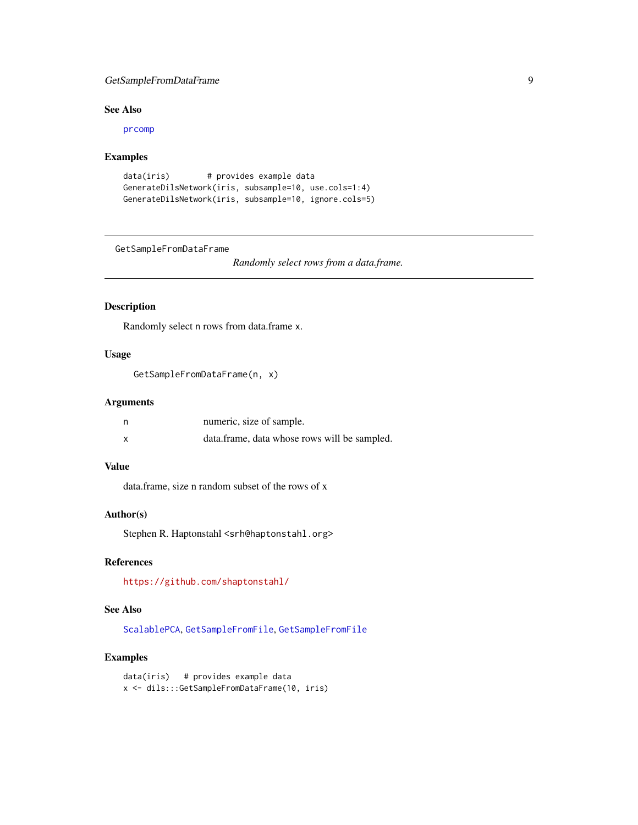# <span id="page-8-0"></span>GetSampleFromDataFrame 9

# See Also

[prcomp](#page-0-0)

# Examples

```
data(iris) # provides example data
GenerateDilsNetwork(iris, subsample=10, use.cols=1:4)
GenerateDilsNetwork(iris, subsample=10, ignore.cols=5)
```
<span id="page-8-1"></span>GetSampleFromDataFrame

*Randomly select rows from a data.frame.*

# Description

Randomly select n rows from data.frame x.

# Usage

GetSampleFromDataFrame(n, x)

### Arguments

| numeric, size of sample.                     |
|----------------------------------------------|
| data.frame, data whose rows will be sampled. |

## Value

data.frame, size n random subset of the rows of x

# Author(s)

Stephen R. Haptonstahl <srh@haptonstahl.org>

# References

<https://github.com/shaptonstahl/>

#### See Also

[ScalablePCA](#page-20-1), [GetSampleFromFile](#page-10-1), [GetSampleFromFile](#page-10-1)

#### Examples

data(iris) # provides example data x <- dils:::GetSampleFromDataFrame(10, iris)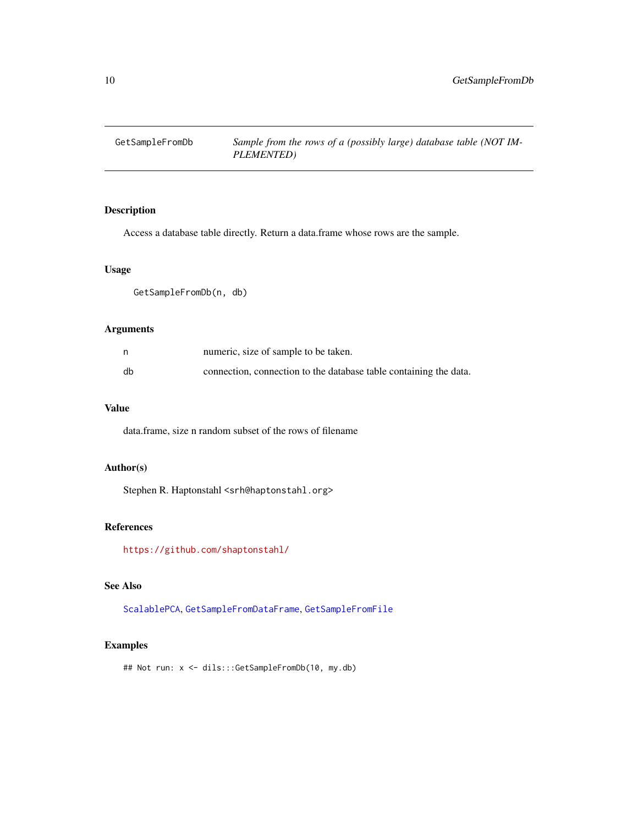<span id="page-9-1"></span><span id="page-9-0"></span>

# Description

Access a database table directly. Return a data.frame whose rows are the sample.

# Usage

GetSampleFromDb(n, db)

# Arguments

|    | numeric, size of sample to be taken.                              |
|----|-------------------------------------------------------------------|
| db | connection, connection to the database table containing the data. |

# Value

data.frame, size n random subset of the rows of filename

# Author(s)

Stephen R. Haptonstahl <srh@haptonstahl.org>

# References

<https://github.com/shaptonstahl/>

# See Also

[ScalablePCA](#page-20-1), [GetSampleFromDataFrame](#page-8-1), [GetSampleFromFile](#page-10-1)

# Examples

## Not run: x <- dils:::GetSampleFromDb(10, my.db)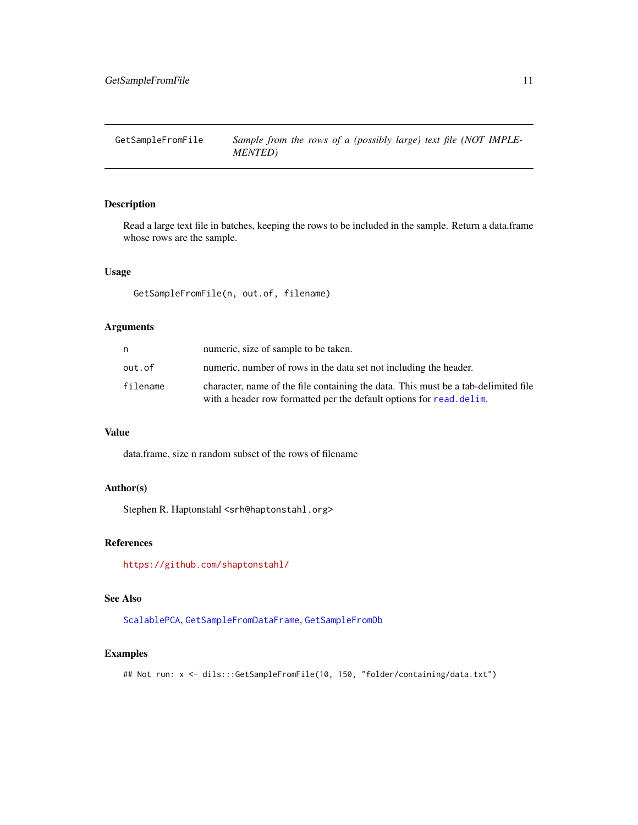# <span id="page-10-1"></span><span id="page-10-0"></span>Description

Read a large text file in batches, keeping the rows to be included in the sample. Return a data.frame whose rows are the sample.

#### Usage

GetSampleFromFile(n, out.of, filename)

# Arguments

| n        | numeric, size of sample to be taken.                                                                                                                       |
|----------|------------------------------------------------------------------------------------------------------------------------------------------------------------|
| out.of   | numeric, number of rows in the data set not including the header.                                                                                          |
| filename | character, name of the file containing the data. This must be a tab-delimited file<br>with a header row formatted per the default options for read. delam. |

# Value

data.frame, size n random subset of the rows of filename

# Author(s)

Stephen R. Haptonstahl <srh@haptonstahl.org>

# References

<https://github.com/shaptonstahl/>

# See Also

[ScalablePCA](#page-20-1), [GetSampleFromDataFrame](#page-8-1), [GetSampleFromDb](#page-9-1)

# Examples

## Not run: x <- dils:::GetSampleFromFile(10, 150, "folder/containing/data.txt")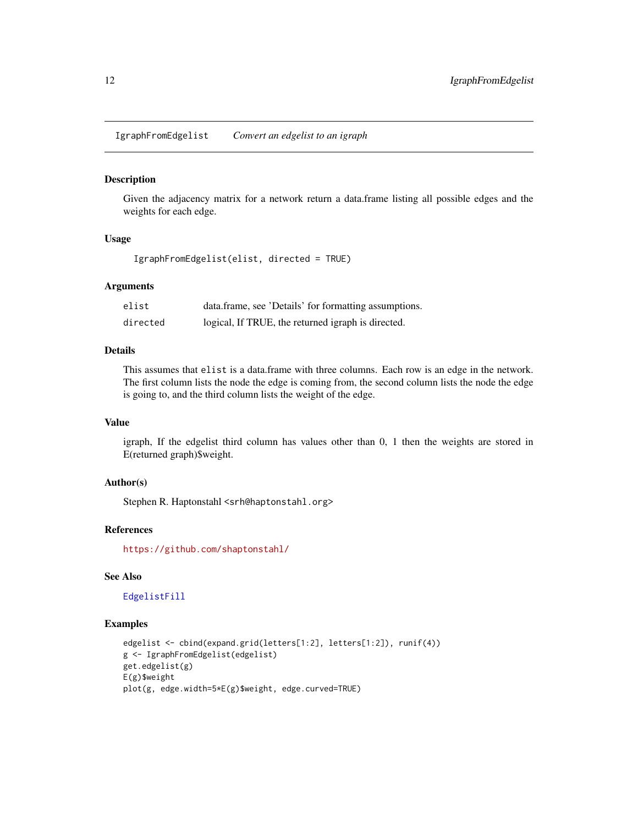<span id="page-11-1"></span><span id="page-11-0"></span>IgraphFromEdgelist *Convert an edgelist to an igraph*

#### Description

Given the adjacency matrix for a network return a data.frame listing all possible edges and the weights for each edge.

#### Usage

IgraphFromEdgelist(elist, directed = TRUE)

# Arguments

| elist    | data.frame, see 'Details' for formatting assumptions. |
|----------|-------------------------------------------------------|
| directed | logical, If TRUE, the returned igraph is directed.    |

# Details

This assumes that elist is a data.frame with three columns. Each row is an edge in the network. The first column lists the node the edge is coming from, the second column lists the node the edge is going to, and the third column lists the weight of the edge.

#### Value

igraph, If the edgelist third column has values other than 0, 1 then the weights are stored in E(returned graph)\$weight.

#### Author(s)

Stephen R. Haptonstahl <srh@haptonstahl.org>

#### References

<https://github.com/shaptonstahl/>

# See Also

[EdgelistFill](#page-3-1)

# Examples

```
edgelist <- cbind(expand.grid(letters[1:2], letters[1:2]), runif(4))
g <- IgraphFromEdgelist(edgelist)
get.edgelist(g)
E(g)$weight
plot(g, edge.width=5*E(g)$weight, edge.curved=TRUE)
```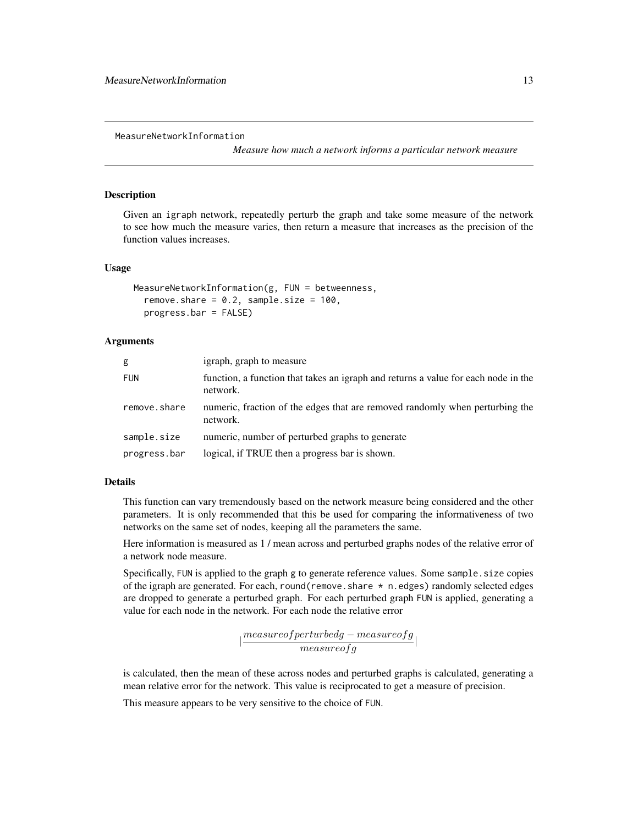<span id="page-12-1"></span><span id="page-12-0"></span>MeasureNetworkInformation

*Measure how much a network informs a particular network measure*

#### Description

Given an igraph network, repeatedly perturb the graph and take some measure of the network to see how much the measure varies, then return a measure that increases as the precision of the function values increases.

#### Usage

```
MeasureNetworkInformation(g, FUN = betweenness,
  remove.share = 0.2, sample.size = 100,
 progress.bar = FALSE)
```
#### Arguments

| g            | igraph, graph to measure                                                                       |
|--------------|------------------------------------------------------------------------------------------------|
| <b>FUN</b>   | function, a function that takes an igraph and returns a value for each node in the<br>network. |
| remove.share | numeric, fraction of the edges that are removed randomly when perturbing the<br>network.       |
| sample.size  | numeric, number of perturbed graphs to generate                                                |
| progress.bar | logical, if TRUE then a progress bar is shown.                                                 |

# Details

This function can vary tremendously based on the network measure being considered and the other parameters. It is only recommended that this be used for comparing the informativeness of two networks on the same set of nodes, keeping all the parameters the same.

Here information is measured as 1 / mean across and perturbed graphs nodes of the relative error of a network node measure.

Specifically, FUN is applied to the graph g to generate reference values. Some sample.size copies of the igraph are generated. For each, round(remove. share  $*$  n. edges) randomly selected edges are dropped to generate a perturbed graph. For each perturbed graph FUN is applied, generating a value for each node in the network. For each node the relative error

 $\lvert \frac{measureof perturbedg - measure ofg}{measure ofg} \rvert$ 

is calculated, then the mean of these across nodes and perturbed graphs is calculated, generating a mean relative error for the network. This value is reciprocated to get a measure of precision.

This measure appears to be very sensitive to the choice of FUN.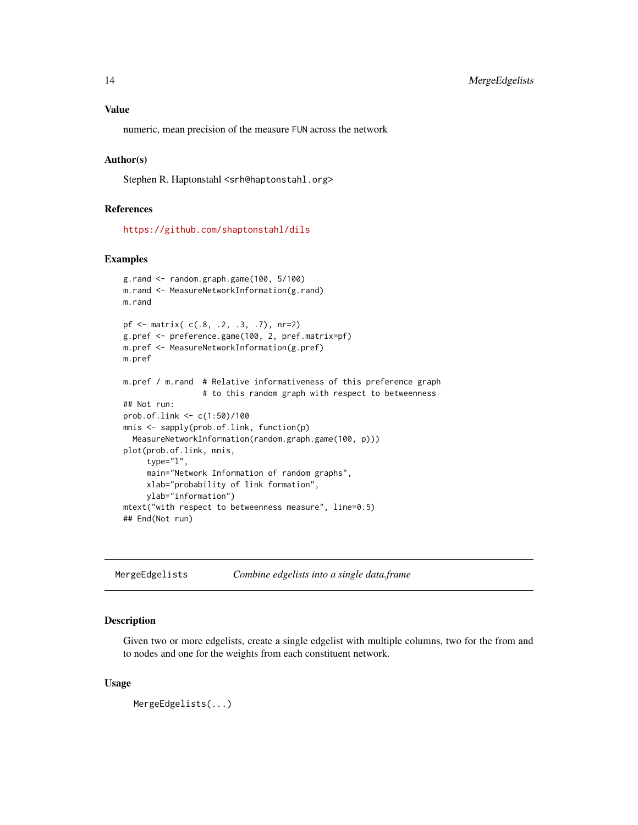# <span id="page-13-0"></span>Value

numeric, mean precision of the measure FUN across the network

#### Author(s)

Stephen R. Haptonstahl <srh@haptonstahl.org>

#### References

<https://github.com/shaptonstahl/dils>

#### Examples

```
g.rand <- random.graph.game(100, 5/100)
m.rand <- MeasureNetworkInformation(g.rand)
m.rand
pf <- matrix( c(.8, .2, .3, .7), nr=2)
g.pref <- preference.game(100, 2, pref.matrix=pf)
m.pref <- MeasureNetworkInformation(g.pref)
m.pref
m.pref / m.rand # Relative informativeness of this preference graph
                 # to this random graph with respect to betweenness
## Not run:
prob.of.link <- c(1:50)/100
mnis <- sapply(prob.of.link, function(p)
  MeasureNetworkInformation(random.graph.game(100, p)))
plot(prob.of.link, mnis,
     type="l",
     main="Network Information of random graphs",
     xlab="probability of link formation",
     ylab="information")
mtext("with respect to betweenness measure", line=0.5)
## End(Not run)
```
<span id="page-13-1"></span>MergeEdgelists *Combine edgelists into a single data.frame*

#### Description

Given two or more edgelists, create a single edgelist with multiple columns, two for the from and to nodes and one for the weights from each constituent network.

```
MergeEdgelists(...)
```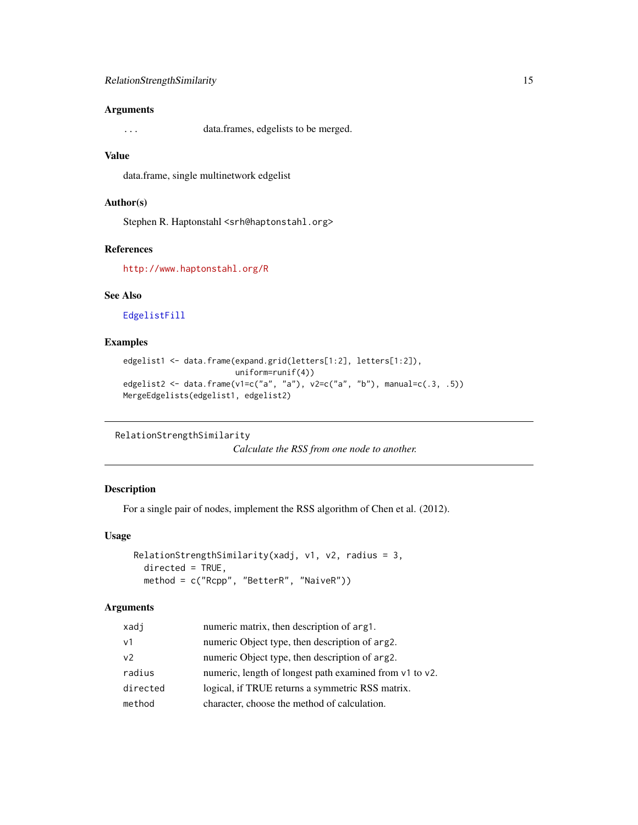<span id="page-14-0"></span>... data.frames, edgelists to be merged.

# Value

data.frame, single multinetwork edgelist

#### Author(s)

Stephen R. Haptonstahl <srh@haptonstahl.org>

# References

<http://www.haptonstahl.org/R>

# See Also

[EdgelistFill](#page-3-1)

# Examples

```
edgelist1 <- data.frame(expand.grid(letters[1:2], letters[1:2]),
                       uniform=runif(4))
edgelist2 <- data.frame(v1=c("a", "a"), v2=c("a", "b"), manual=c(.3, .5))
MergeEdgelists(edgelist1, edgelist2)
```
<span id="page-14-1"></span>RelationStrengthSimilarity

*Calculate the RSS from one node to another.*

# Description

For a single pair of nodes, implement the RSS algorithm of Chen et al. (2012).

#### Usage

```
RelationStrengthSimilarity(xadj, v1, v2, radius = 3,
  directed = TRUE,
 method = c("Rcpp", "BetterR", "NaiveR"))
```
#### Arguments

| xadj           | numeric matrix, then description of arg1.               |
|----------------|---------------------------------------------------------|
| $\vee$ 1       | numeric Object type, then description of arg2.          |
| v <sub>2</sub> | numeric Object type, then description of arg2.          |
| radius         | numeric, length of longest path examined from v1 to v2. |
| directed       | logical, if TRUE returns a symmetric RSS matrix.        |
| method         | character, choose the method of calculation.            |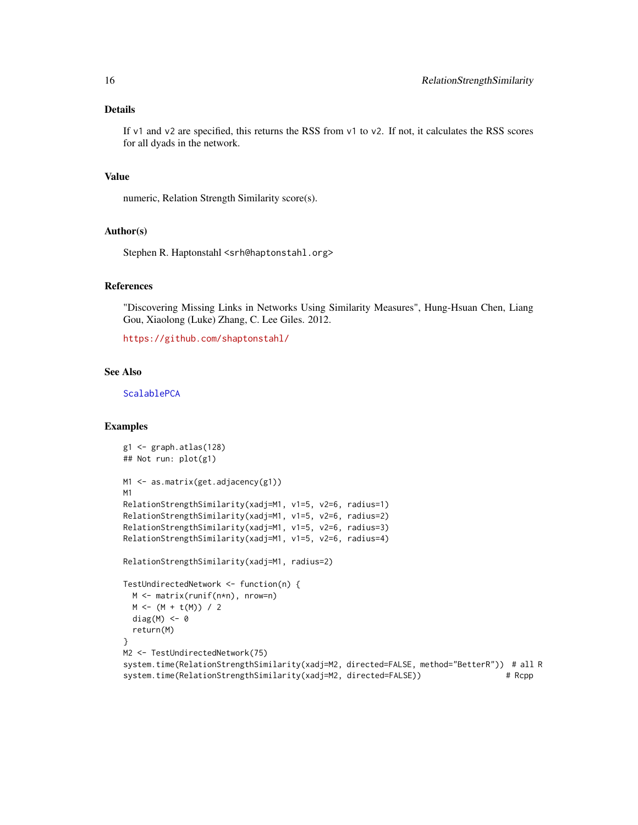# <span id="page-15-0"></span>Details

If v1 and v2 are specified, this returns the RSS from v1 to v2. If not, it calculates the RSS scores for all dyads in the network.

#### Value

numeric, Relation Strength Similarity score(s).

#### Author(s)

Stephen R. Haptonstahl <srh@haptonstahl.org>

#### References

"Discovering Missing Links in Networks Using Similarity Measures", Hung-Hsuan Chen, Liang Gou, Xiaolong (Luke) Zhang, C. Lee Giles. 2012.

<https://github.com/shaptonstahl/>

# See Also

[ScalablePCA](#page-20-1)

#### Examples

```
g1 <- graph.atlas(128)
## Not run: plot(g1)
M1 <- as.matrix(get.adjacency(g1))
M1
RelationStrengthSimilarity(xadj=M1, v1=5, v2=6, radius=1)
RelationStrengthSimilarity(xadj=M1, v1=5, v2=6, radius=2)
RelationStrengthSimilarity(xadj=M1, v1=5, v2=6, radius=3)
RelationStrengthSimilarity(xadj=M1, v1=5, v2=6, radius=4)
RelationStrengthSimilarity(xadj=M1, radius=2)
TestUndirectedNetwork <- function(n) {
 M <- matrix(runif(n*n), nrow=n)
 M < - (M + t(M)) / 2diag(M) <- 0
 return(M)
}
M2 <- TestUndirectedNetwork(75)
system.time(RelationStrengthSimilarity(xadj=M2, directed=FALSE, method="BetterR")) # all R
system.time(RelationStrengthSimilarity(xadj=M2, directed=FALSE)) # Rcpp
```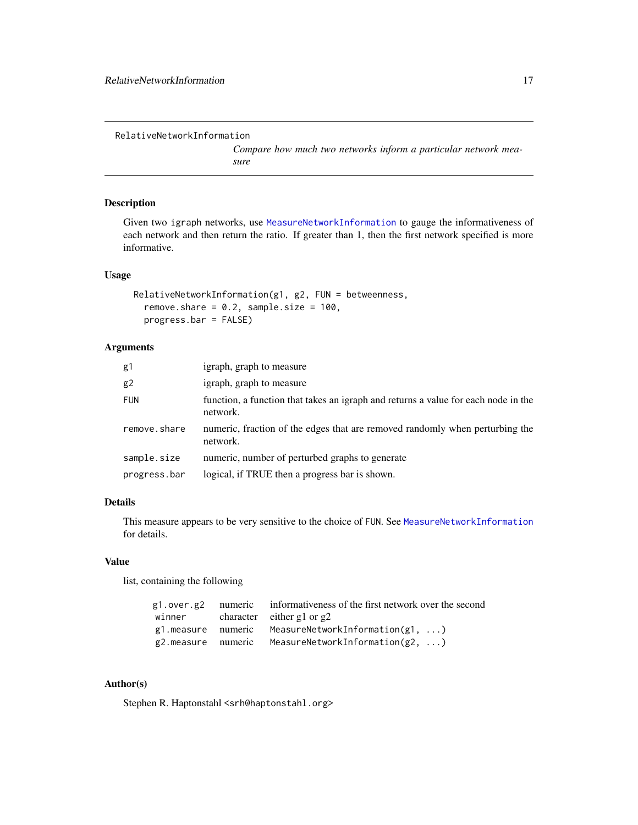*Compare how much two networks inform a particular network measure*

#### <span id="page-16-1"></span><span id="page-16-0"></span>Description

Given two igraph networks, use [MeasureNetworkInformation](#page-12-1) to gauge the informativeness of each network and then return the ratio. If greater than 1, then the first network specified is more informative.

# Usage

```
RelativeNetworkInformation(g1, g2, FUN = betweenness,
  remove.share = 0.2, sample.size = 100,
  progress.bar = FALSE)
```
# Arguments

| g1           | igraph, graph to measure                                                                       |
|--------------|------------------------------------------------------------------------------------------------|
| g2           | igraph, graph to measure                                                                       |
| <b>FUN</b>   | function, a function that takes an igraph and returns a value for each node in the<br>network. |
| remove.share | numeric, fraction of the edges that are removed randomly when perturbing the<br>network.       |
| sample.size  | numeric, number of perturbed graphs to generate                                                |
| progress.bar | logical, if TRUE then a progress bar is shown.                                                 |

# Details

This measure appears to be very sensitive to the choice of FUN. See [MeasureNetworkInformation](#page-12-1) for details.

#### Value

list, containing the following

|        | g1.over.g2 numeric informativeness of the first network over the second |
|--------|-------------------------------------------------------------------------|
| winner | character either $g1$ or $g2$                                           |
|        | $g1$ .measure numeric MeasureNetworkInformation( $g1, \ldots$ )         |
|        | g2.measure numeric MeasureNetworkInformation(g2, )                      |

# Author(s)

Stephen R. Haptonstahl <srh@haptonstahl.org>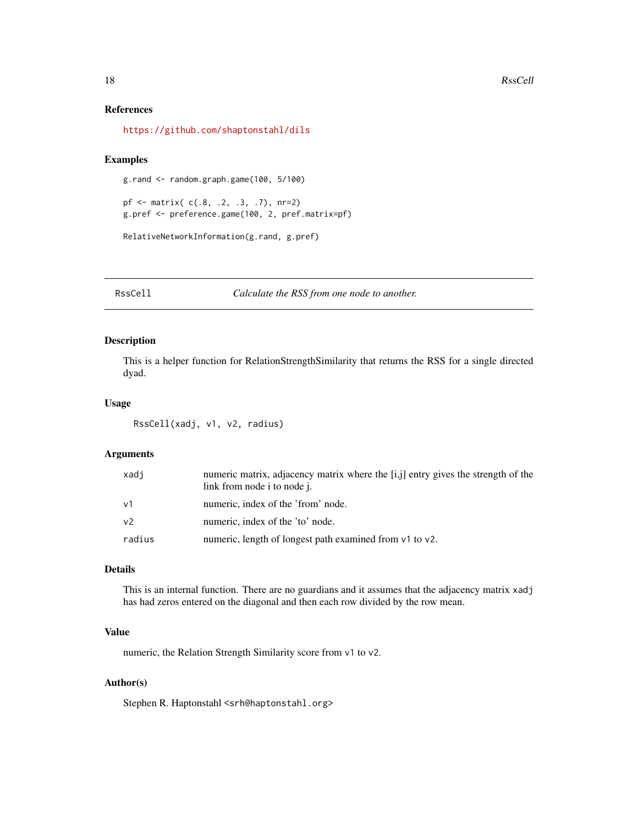#### References

<https://github.com/shaptonstahl/dils>

# Examples

```
g.rand <- random.graph.game(100, 5/100)
```

```
pf <- matrix( c(.8, .2, .3, .7), nr=2)
g.pref <- preference.game(100, 2, pref.matrix=pf)
```

```
RelativeNetworkInformation(g.rand, g.pref)
```
RssCell *Calculate the RSS from one node to another.*

# Description

This is a helper function for RelationStrengthSimilarity that returns the RSS for a single directed dyad.

#### Usage

```
RssCell(xadj, v1, v2, radius)
```
#### Arguments

| xadi           | numeric matrix, adjacency matrix where the [i,j] entry gives the strength of the<br>link from node i to node j. |
|----------------|-----------------------------------------------------------------------------------------------------------------|
| $\vee$ 1       | numeric, index of the 'from' node.                                                                              |
| V <sup>2</sup> | numeric, index of the 'to' node.                                                                                |
| radius         | numeric, length of longest path examined from v1 to v2.                                                         |

#### Details

This is an internal function. There are no guardians and it assumes that the adjacency matrix xadj has had zeros entered on the diagonal and then each row divided by the row mean.

#### Value

numeric, the Relation Strength Similarity score from v1 to v2.

# Author(s)

Stephen R. Haptonstahl <srh@haptonstahl.org>

<span id="page-17-0"></span>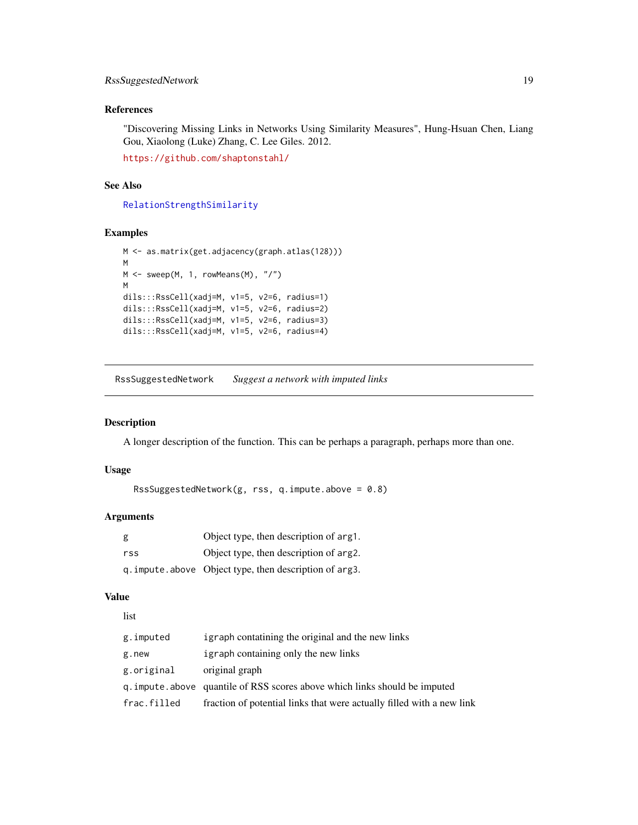# <span id="page-18-0"></span>References

"Discovering Missing Links in Networks Using Similarity Measures", Hung-Hsuan Chen, Liang Gou, Xiaolong (Luke) Zhang, C. Lee Giles. 2012.

<https://github.com/shaptonstahl/>

# See Also

[RelationStrengthSimilarity](#page-14-1)

#### Examples

```
M <- as.matrix(get.adjacency(graph.atlas(128)))
M
M \leftarrow sweep(M, 1, rowMeans(M), "/")
M
dils:::RssCell(xadj=M, v1=5, v2=6, radius=1)
dils:::RssCell(xadj=M, v1=5, v2=6, radius=2)
dils:::RssCell(xadj=M, v1=5, v2=6, radius=3)
dils:::RssCell(xadj=M, v1=5, v2=6, radius=4)
```
<span id="page-18-1"></span>RssSuggestedNetwork *Suggest a network with imputed links*

#### Description

A longer description of the function. This can be perhaps a paragraph, perhaps more than one.

# Usage

```
RssSuggestedNetwork(g, rss, q.impute.above = 0.8)
```
#### Arguments

| g   | Object type, then description of arg1.                  |
|-----|---------------------------------------------------------|
| rss | Object type, then description of arg2.                  |
|     | q. impute. above Object type, then description of arg3. |

#### Value

```
list
```

| g.imputed   | igraph contatining the original and the new links                           |
|-------------|-----------------------------------------------------------------------------|
| g.new       | igraph containing only the new links                                        |
| g.original  | original graph                                                              |
|             | q. impute. above quantile of RSS scores above which links should be imputed |
| frac.filled | fraction of potential links that were actually filled with a new link       |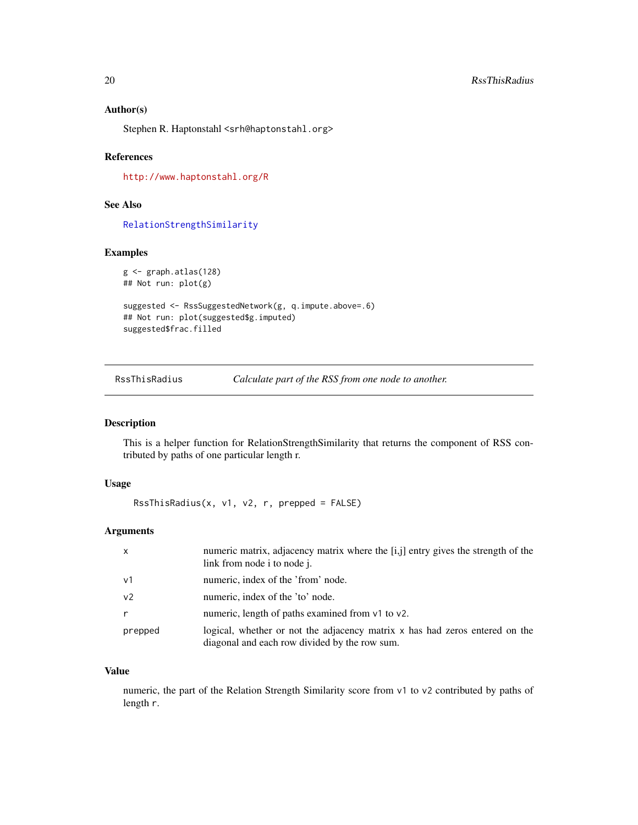#### <span id="page-19-0"></span>Author(s)

Stephen R. Haptonstahl <srh@haptonstahl.org>

# References

<http://www.haptonstahl.org/R>

# See Also

[RelationStrengthSimilarity](#page-14-1)

# Examples

```
g <- graph.atlas(128)
## Not run: plot(g)
```

```
suggested <- RssSuggestedNetwork(g, q.impute.above=.6)
## Not run: plot(suggested$g.imputed)
suggested$frac.filled
```
RssThisRadius *Calculate part of the RSS from one node to another.*

# Description

This is a helper function for RelationStrengthSimilarity that returns the component of RSS contributed by paths of one particular length r.

#### Usage

RssThisRadius(x, v1, v2, r, prepped = FALSE)

# Arguments

| $\mathsf{x}$   | numeric matrix, adjacency matrix where the [i,j] entry gives the strength of the<br>link from node i to node j.              |
|----------------|------------------------------------------------------------------------------------------------------------------------------|
| $\vee$ 1       | numeric, index of the 'from' node.                                                                                           |
| v <sub>2</sub> | numeric, index of the 'to' node.                                                                                             |
|                | numeric, length of paths examined from v1 to v2.                                                                             |
| prepped        | logical, whether or not the adjacency matrix x has had zeros entered on the<br>diagonal and each row divided by the row sum. |

# Value

numeric, the part of the Relation Strength Similarity score from v1 to v2 contributed by paths of length r.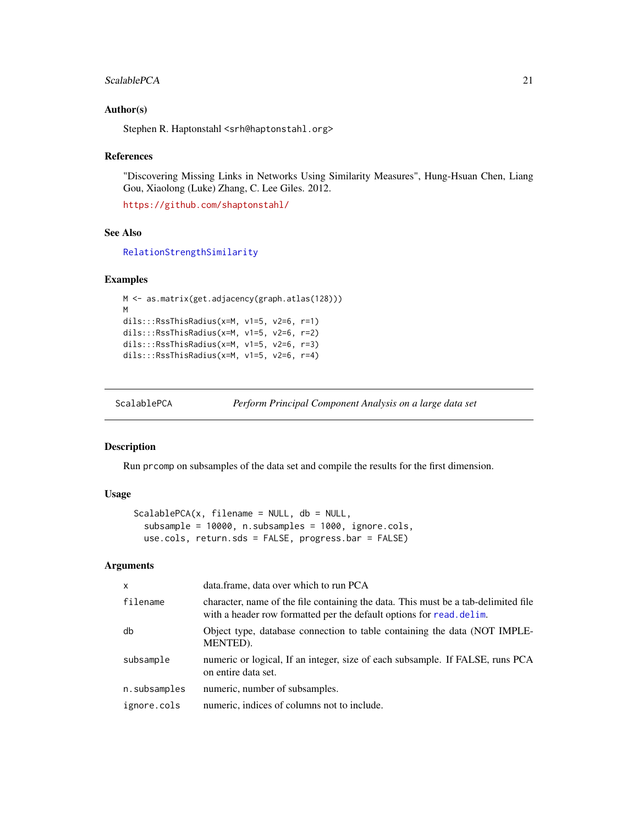#### <span id="page-20-0"></span>ScalablePCA 21

#### Author(s)

Stephen R. Haptonstahl <srh@haptonstahl.org>

#### References

"Discovering Missing Links in Networks Using Similarity Measures", Hung-Hsuan Chen, Liang Gou, Xiaolong (Luke) Zhang, C. Lee Giles. 2012.

<https://github.com/shaptonstahl/>

#### See Also

[RelationStrengthSimilarity](#page-14-1)

#### Examples

```
M <- as.matrix(get.adjacency(graph.atlas(128)))
M
dils:::RssThisRadius(x=M, v1=5, v2=6, r=1)
dils:::RssThisRadius(x=M, v1=5, v2=6, r=2)
dils:::RssThisRadius(x=M, v1=5, v2=6, r=3)
dils:::RssThisRadius(x=M, v1=5, v2=6, r=4)
```
<span id="page-20-1"></span>ScalablePCA *Perform Principal Component Analysis on a large data set*

#### Description

Run prcomp on subsamples of the data set and compile the results for the first dimension.

# Usage

```
ScalablePCA(x, filename = NULL, db = NULL,subsample = 10000, n.subsamples = 1000, ignore.cols,
 use.cols, return.sds = FALSE, progress.bar = FALSE)
```
#### Arguments

| $\mathsf{x}$ | data.frame, data over which to run PCA                                                                                                                     |
|--------------|------------------------------------------------------------------------------------------------------------------------------------------------------------|
| filename     | character, name of the file containing the data. This must be a tab-delimited file<br>with a header row formatted per the default options for read. delim. |
| db           | Object type, database connection to table containing the data (NOT IMPLE-<br>MENTED).                                                                      |
| subsample    | numeric or logical, If an integer, size of each subsample. If FALSE, runs PCA<br>on entire data set.                                                       |
| n.subsamples | numeric, number of subsamples.                                                                                                                             |
| ignore.cols  | numeric, indices of columns not to include.                                                                                                                |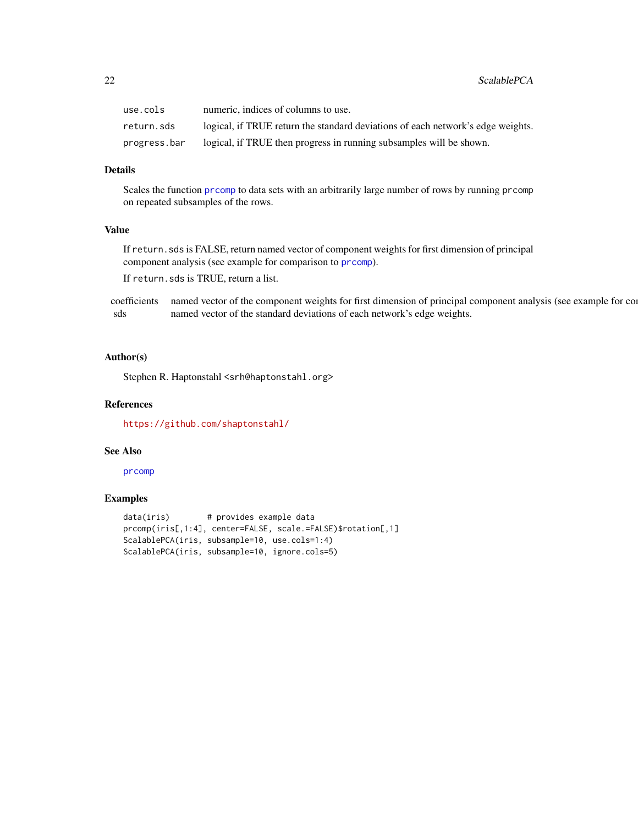<span id="page-21-0"></span>

| use.cols     | numeric, indices of columns to use.                                             |
|--------------|---------------------------------------------------------------------------------|
| return.sds   | logical, if TRUE return the standard deviations of each network's edge weights. |
| progress.bar | logical, if TRUE then progress in running subsamples will be shown.             |

#### Details

Scales the function [prcomp](#page-0-0) to data sets with an arbitrarily large number of rows by running prcomp on repeated subsamples of the rows.

# Value

If return.sds is FALSE, return named vector of component weights for first dimension of principal component analysis (see example for comparison to [prcomp](#page-0-0)).

If return.sds is TRUE, return a list.

coefficients named vector of the component weights for first dimension of principal component analysis (see example for comparison of sds named vector of the standard deviations of each network's edge weights.

#### Author(s)

Stephen R. Haptonstahl <srh@haptonstahl.org>

#### References

<https://github.com/shaptonstahl/>

#### See Also

[prcomp](#page-0-0)

# Examples

```
data(iris) # provides example data
prcomp(iris[,1:4], center=FALSE, scale.=FALSE)$rotation[,1]
ScalablePCA(iris, subsample=10, use.cols=1:4)
ScalablePCA(iris, subsample=10, ignore.cols=5)
```